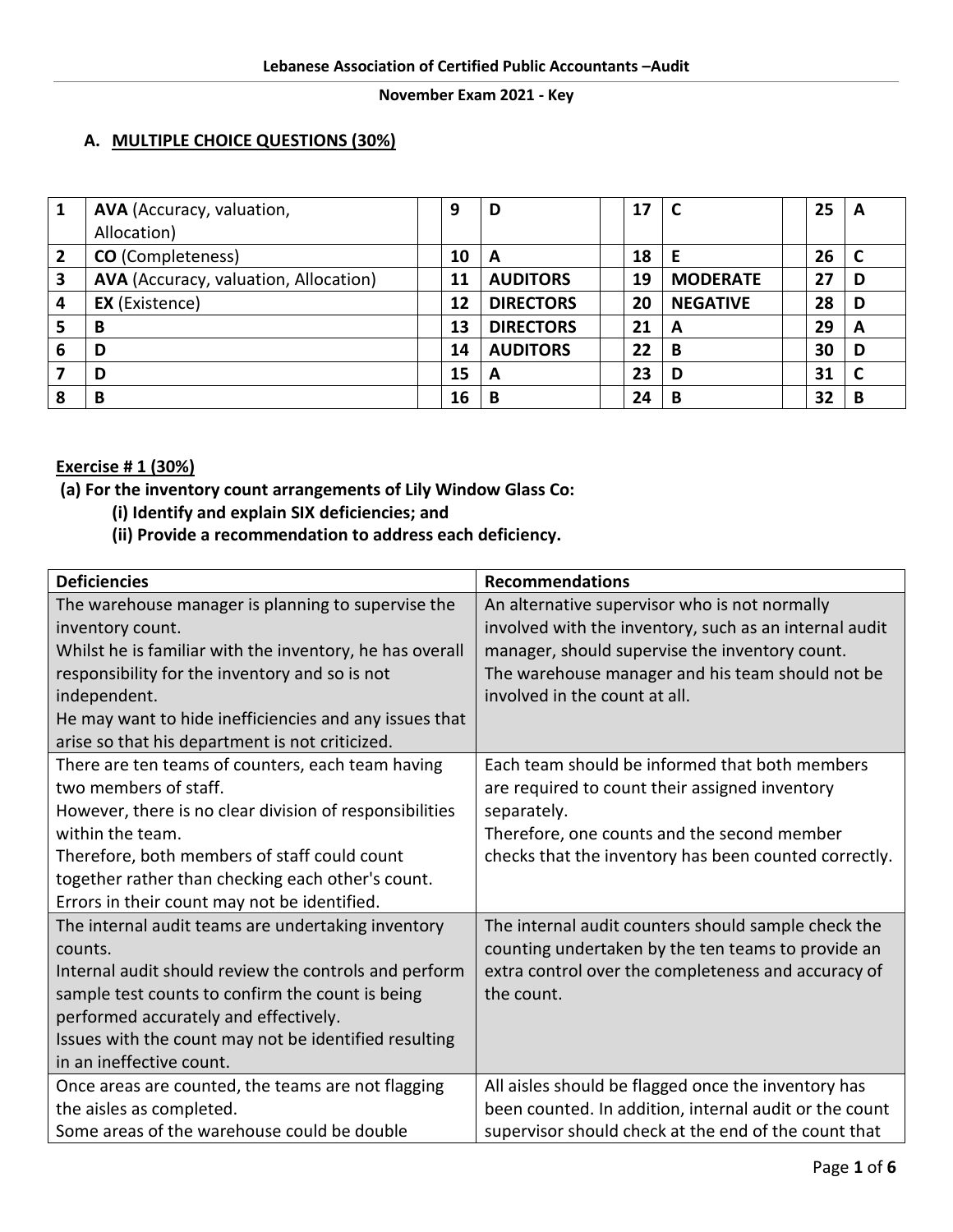# **A. MULTIPLE CHOICE QUESTIONS (30%)**

| 1              | AVA (Accuracy, valuation,             | 9  | D                | 17 |                 | 25 | A |
|----------------|---------------------------------------|----|------------------|----|-----------------|----|---|
|                | Allocation)                           |    |                  |    |                 |    |   |
| $\overline{2}$ | <b>CO</b> (Completeness)              | 10 | A                | 18 |                 | 26 |   |
| 3              | AVA (Accuracy, valuation, Allocation) | 11 | <b>AUDITORS</b>  | 19 | <b>MODERATE</b> | 27 | D |
| 4              | <b>EX</b> (Existence)                 | 12 | <b>DIRECTORS</b> | 20 | <b>NEGATIVE</b> | 28 | D |
| 5              | B                                     | 13 | <b>DIRECTORS</b> | 21 | A               | 29 | A |
| 6              | D                                     | 14 | <b>AUDITORS</b>  | 22 | B               | 30 | D |
|                | D                                     | 15 | A                | 23 | D               | 31 |   |
| 8              | B                                     | 16 | B                | 24 | B               | 32 | В |

# **Exercise # 1 (30%)**

**(a) For the inventory count arrangements of Lily Window Glass Co:**

# **(i) Identify and explain SIX deficiencies; and**

**(ii) Provide a recommendation to address each deficiency.**

| <b>Deficiencies</b>                                      | <b>Recommendations</b>                                 |
|----------------------------------------------------------|--------------------------------------------------------|
| The warehouse manager is planning to supervise the       | An alternative supervisor who is not normally          |
| inventory count.                                         | involved with the inventory, such as an internal audit |
| Whilst he is familiar with the inventory, he has overall | manager, should supervise the inventory count.         |
| responsibility for the inventory and so is not           | The warehouse manager and his team should not be       |
| independent.                                             | involved in the count at all.                          |
| He may want to hide inefficiencies and any issues that   |                                                        |
| arise so that his department is not criticized.          |                                                        |
| There are ten teams of counters, each team having        | Each team should be informed that both members         |
| two members of staff.                                    | are required to count their assigned inventory         |
| However, there is no clear division of responsibilities  | separately.                                            |
| within the team.                                         | Therefore, one counts and the second member            |
| Therefore, both members of staff could count             | checks that the inventory has been counted correctly.  |
| together rather than checking each other's count.        |                                                        |
| Errors in their count may not be identified.             |                                                        |
| The internal audit teams are undertaking inventory       | The internal audit counters should sample check the    |
| counts.                                                  | counting undertaken by the ten teams to provide an     |
| Internal audit should review the controls and perform    | extra control over the completeness and accuracy of    |
| sample test counts to confirm the count is being         | the count.                                             |
| performed accurately and effectively.                    |                                                        |
| Issues with the count may not be identified resulting    |                                                        |
| in an ineffective count.                                 |                                                        |
| Once areas are counted, the teams are not flagging       | All aisles should be flagged once the inventory has    |
| the aisles as completed.                                 | been counted. In addition, internal audit or the count |
| Some areas of the warehouse could be double              | supervisor should check at the end of the count that   |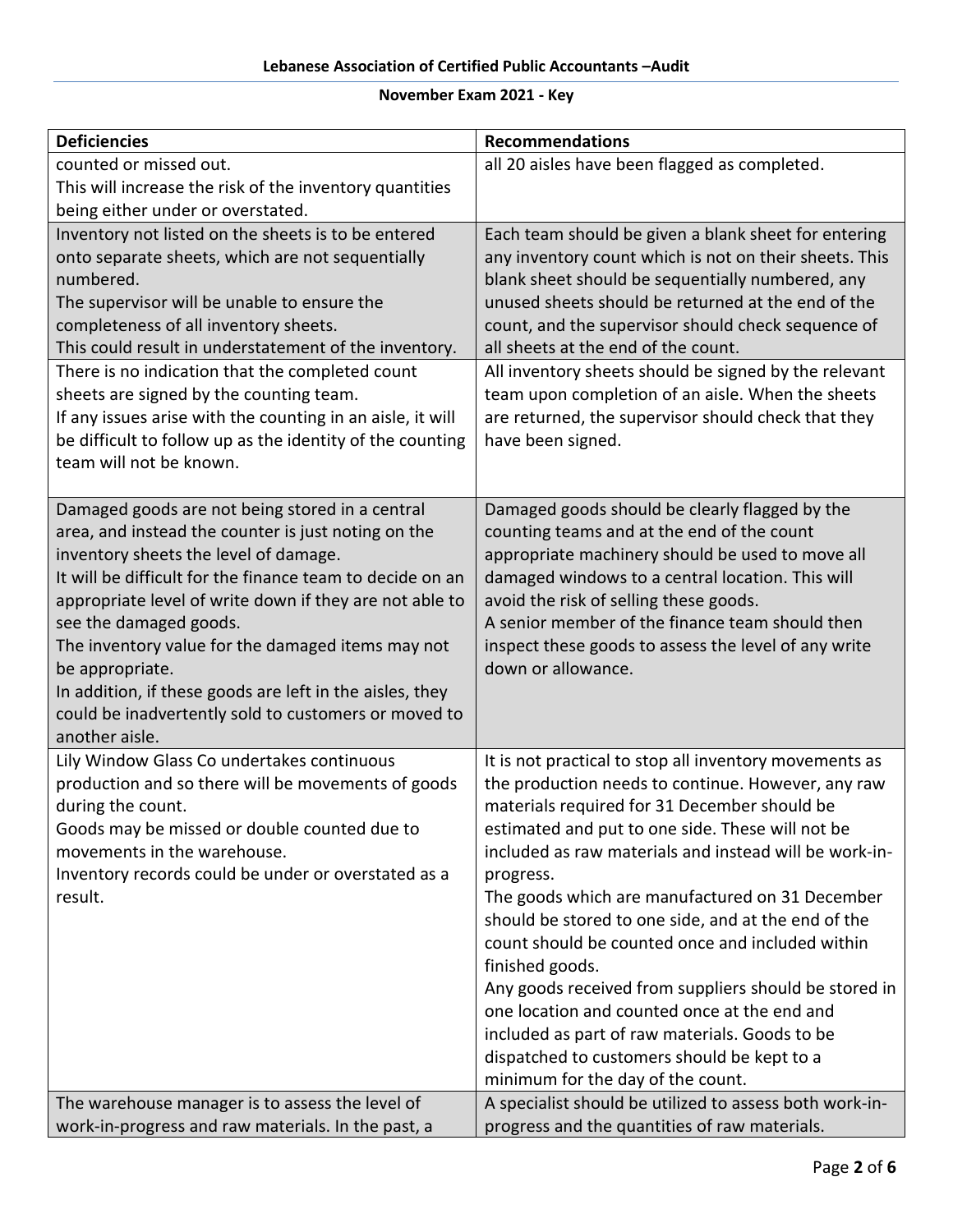| <b>Deficiencies</b>                                                                                                                                                                                                                                                                                                                                                                                                                                                                                                       | <b>Recommendations</b>                                                                                                                                                                                                                                                                                                                                                                                                                                                                                                                                                                                                                                                                                                  |
|---------------------------------------------------------------------------------------------------------------------------------------------------------------------------------------------------------------------------------------------------------------------------------------------------------------------------------------------------------------------------------------------------------------------------------------------------------------------------------------------------------------------------|-------------------------------------------------------------------------------------------------------------------------------------------------------------------------------------------------------------------------------------------------------------------------------------------------------------------------------------------------------------------------------------------------------------------------------------------------------------------------------------------------------------------------------------------------------------------------------------------------------------------------------------------------------------------------------------------------------------------------|
| counted or missed out.                                                                                                                                                                                                                                                                                                                                                                                                                                                                                                    | all 20 aisles have been flagged as completed.                                                                                                                                                                                                                                                                                                                                                                                                                                                                                                                                                                                                                                                                           |
| This will increase the risk of the inventory quantities                                                                                                                                                                                                                                                                                                                                                                                                                                                                   |                                                                                                                                                                                                                                                                                                                                                                                                                                                                                                                                                                                                                                                                                                                         |
| being either under or overstated.                                                                                                                                                                                                                                                                                                                                                                                                                                                                                         |                                                                                                                                                                                                                                                                                                                                                                                                                                                                                                                                                                                                                                                                                                                         |
| Inventory not listed on the sheets is to be entered<br>onto separate sheets, which are not sequentially<br>numbered.<br>The supervisor will be unable to ensure the<br>completeness of all inventory sheets.<br>This could result in understatement of the inventory.<br>There is no indication that the completed count<br>sheets are signed by the counting team.<br>If any issues arise with the counting in an aisle, it will<br>be difficult to follow up as the identity of the counting<br>team will not be known. | Each team should be given a blank sheet for entering<br>any inventory count which is not on their sheets. This<br>blank sheet should be sequentially numbered, any<br>unused sheets should be returned at the end of the<br>count, and the supervisor should check sequence of<br>all sheets at the end of the count.<br>All inventory sheets should be signed by the relevant<br>team upon completion of an aisle. When the sheets<br>are returned, the supervisor should check that they<br>have been signed.                                                                                                                                                                                                         |
| Damaged goods are not being stored in a central<br>area, and instead the counter is just noting on the<br>inventory sheets the level of damage.<br>It will be difficult for the finance team to decide on an<br>appropriate level of write down if they are not able to<br>see the damaged goods.<br>The inventory value for the damaged items may not<br>be appropriate.<br>In addition, if these goods are left in the aisles, they<br>could be inadvertently sold to customers or moved to<br>another aisle.           | Damaged goods should be clearly flagged by the<br>counting teams and at the end of the count<br>appropriate machinery should be used to move all<br>damaged windows to a central location. This will<br>avoid the risk of selling these goods.<br>A senior member of the finance team should then<br>inspect these goods to assess the level of any write<br>down or allowance.                                                                                                                                                                                                                                                                                                                                         |
| Lily Window Glass Co undertakes continuous<br>production and so there will be movements of goods<br>during the count.<br>Goods may be missed or double counted due to<br>movements in the warehouse.<br>Inventory records could be under or overstated as a<br>result.                                                                                                                                                                                                                                                    | It is not practical to stop all inventory movements as<br>the production needs to continue. However, any raw<br>materials required for 31 December should be<br>estimated and put to one side. These will not be<br>included as raw materials and instead will be work-in-<br>progress.<br>The goods which are manufactured on 31 December<br>should be stored to one side, and at the end of the<br>count should be counted once and included within<br>finished goods.<br>Any goods received from suppliers should be stored in<br>one location and counted once at the end and<br>included as part of raw materials. Goods to be<br>dispatched to customers should be kept to a<br>minimum for the day of the count. |
| The warehouse manager is to assess the level of<br>work-in-progress and raw materials. In the past, a                                                                                                                                                                                                                                                                                                                                                                                                                     | A specialist should be utilized to assess both work-in-<br>progress and the quantities of raw materials.                                                                                                                                                                                                                                                                                                                                                                                                                                                                                                                                                                                                                |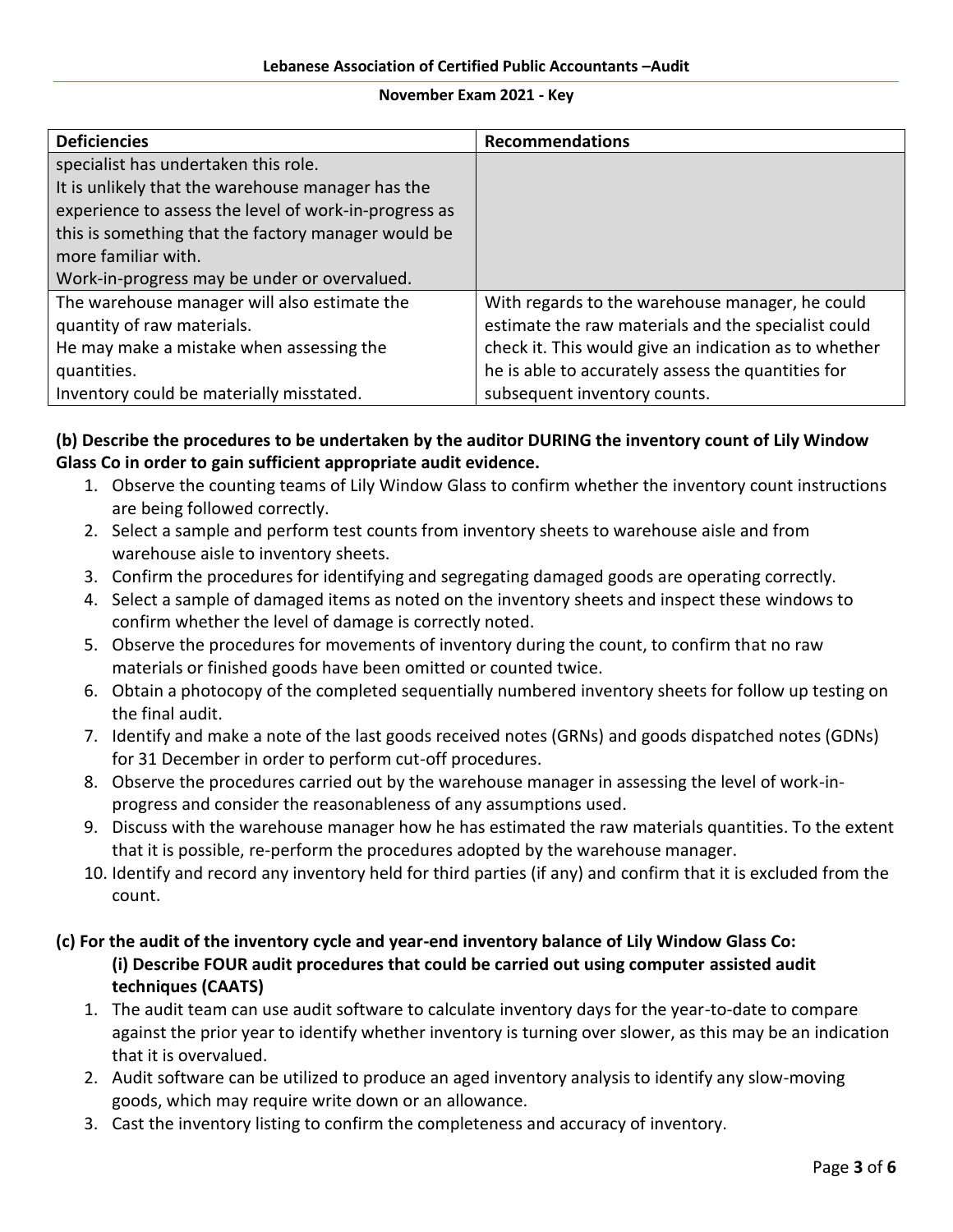| <b>Deficiencies</b>                                   | <b>Recommendations</b>                                |
|-------------------------------------------------------|-------------------------------------------------------|
| specialist has undertaken this role.                  |                                                       |
| It is unlikely that the warehouse manager has the     |                                                       |
| experience to assess the level of work-in-progress as |                                                       |
| this is something that the factory manager would be   |                                                       |
| more familiar with.                                   |                                                       |
| Work-in-progress may be under or overvalued.          |                                                       |
| The warehouse manager will also estimate the          | With regards to the warehouse manager, he could       |
| quantity of raw materials.                            | estimate the raw materials and the specialist could   |
| He may make a mistake when assessing the              | check it. This would give an indication as to whether |
| quantities.                                           | he is able to accurately assess the quantities for    |
| Inventory could be materially misstated.              | subsequent inventory counts.                          |

# **(b) Describe the procedures to be undertaken by the auditor DURING the inventory count of Lily Window Glass Co in order to gain sufficient appropriate audit evidence.**

- 1. Observe the counting teams of Lily Window Glass to confirm whether the inventory count instructions are being followed correctly.
- 2. Select a sample and perform test counts from inventory sheets to warehouse aisle and from warehouse aisle to inventory sheets.
- 3. Confirm the procedures for identifying and segregating damaged goods are operating correctly.
- 4. Select a sample of damaged items as noted on the inventory sheets and inspect these windows to confirm whether the level of damage is correctly noted.
- 5. Observe the procedures for movements of inventory during the count, to confirm that no raw materials or finished goods have been omitted or counted twice.
- 6. Obtain a photocopy of the completed sequentially numbered inventory sheets for follow up testing on the final audit.
- 7. Identify and make a note of the last goods received notes (GRNs) and goods dispatched notes (GDNs) for 31 December in order to perform cut-off procedures.
- 8. Observe the procedures carried out by the warehouse manager in assessing the level of work-inprogress and consider the reasonableness of any assumptions used.
- 9. Discuss with the warehouse manager how he has estimated the raw materials quantities. To the extent that it is possible, re-perform the procedures adopted by the warehouse manager.
- 10. Identify and record any inventory held for third parties (if any) and confirm that it is excluded from the count.

# **(c) For the audit of the inventory cycle and year-end inventory balance of Lily Window Glass Co: (i) Describe FOUR audit procedures that could be carried out using computer assisted audit techniques (CAATS)**

- 1. The audit team can use audit software to calculate inventory days for the year-to-date to compare against the prior year to identify whether inventory is turning over slower, as this may be an indication that it is overvalued.
- 2. Audit software can be utilized to produce an aged inventory analysis to identify any slow-moving goods, which may require write down or an allowance.
- 3. Cast the inventory listing to confirm the completeness and accuracy of inventory.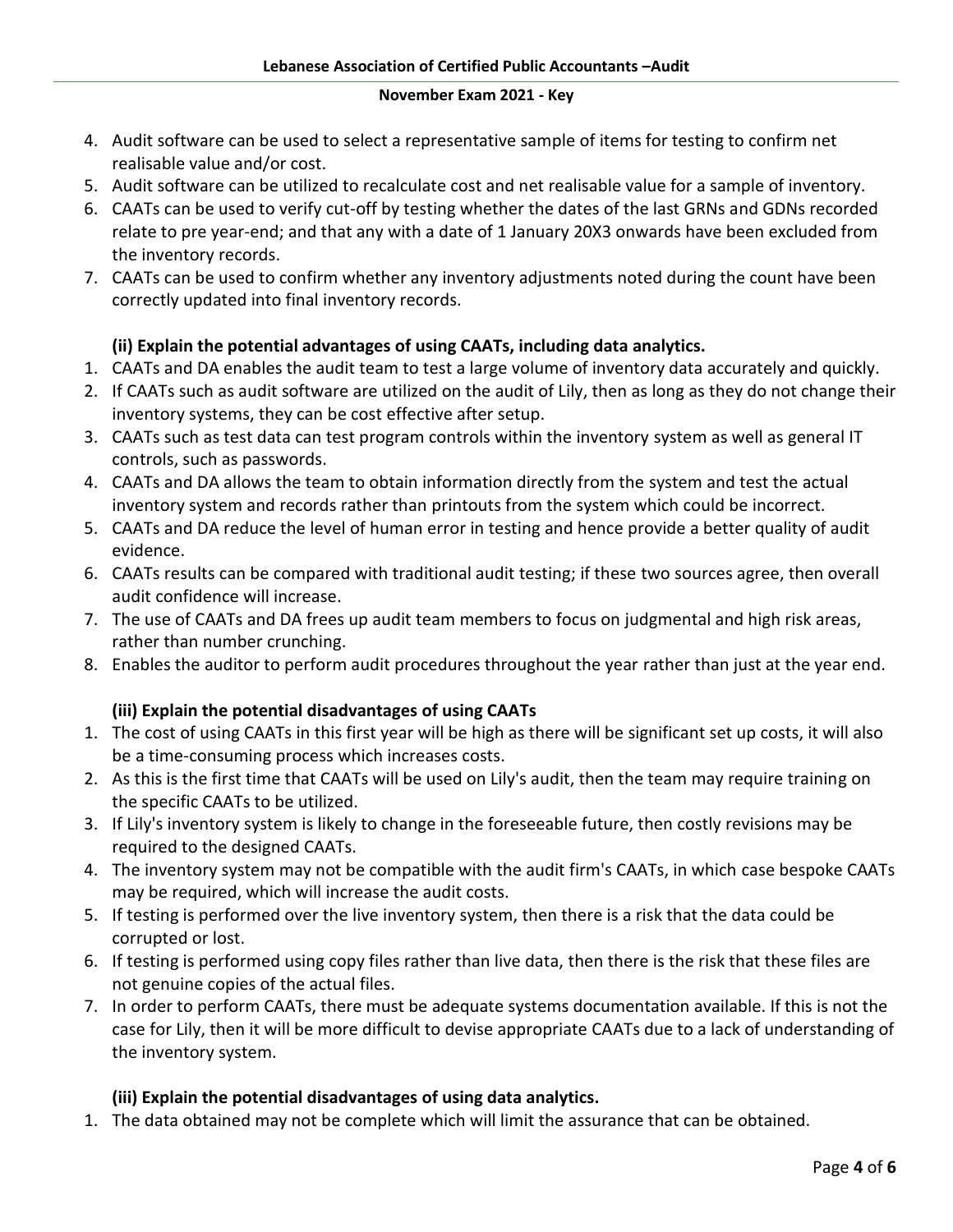- 4. Audit software can be used to select a representative sample of items for testing to confirm net realisable value and/or cost.
- 5. Audit software can be utilized to recalculate cost and net realisable value for a sample of inventory.
- 6. CAATs can be used to verify cut-off by testing whether the dates of the last GRNs and GDNs recorded relate to pre year-end; and that any with a date of 1 January 20X3 onwards have been excluded from the inventory records.
- 7. CAATs can be used to confirm whether any inventory adjustments noted during the count have been correctly updated into final inventory records.

# **(ii) Explain the potential advantages of using CAATs, including data analytics.**

- 1. CAATs and DA enables the audit team to test a large volume of inventory data accurately and quickly.
- 2. If CAATs such as audit software are utilized on the audit of Lily, then as long as they do not change their inventory systems, they can be cost effective after setup.
- 3. CAATs such as test data can test program controls within the inventory system as well as general IT controls, such as passwords.
- 4. CAATs and DA allows the team to obtain information directly from the system and test the actual inventory system and records rather than printouts from the system which could be incorrect.
- 5. CAATs and DA reduce the level of human error in testing and hence provide a better quality of audit evidence.
- 6. CAATs results can be compared with traditional audit testing; if these two sources agree, then overall audit confidence will increase.
- 7. The use of CAATs and DA frees up audit team members to focus on judgmental and high risk areas, rather than number crunching.
- 8. Enables the auditor to perform audit procedures throughout the year rather than just at the year end.

# **(iii) Explain the potential disadvantages of using CAATs**

- 1. The cost of using CAATs in this first year will be high as there will be significant set up costs, it will also be a time-consuming process which increases costs.
- 2. As this is the first time that CAATs will be used on Lily's audit, then the team may require training on the specific CAATs to be utilized.
- 3. If Lily's inventory system is likely to change in the foreseeable future, then costly revisions may be required to the designed CAATs.
- 4. The inventory system may not be compatible with the audit firm's CAATs, in which case bespoke CAATs may be required, which will increase the audit costs.
- 5. If testing is performed over the live inventory system, then there is a risk that the data could be corrupted or lost.
- 6. If testing is performed using copy files rather than live data, then there is the risk that these files are not genuine copies of the actual files.
- 7. In order to perform CAATs, there must be adequate systems documentation available. If this is not the case for Lily, then it will be more difficult to devise appropriate CAATs due to a lack of understanding of the inventory system.

# **(iii) Explain the potential disadvantages of using data analytics.**

1. The data obtained may not be complete which will limit the assurance that can be obtained.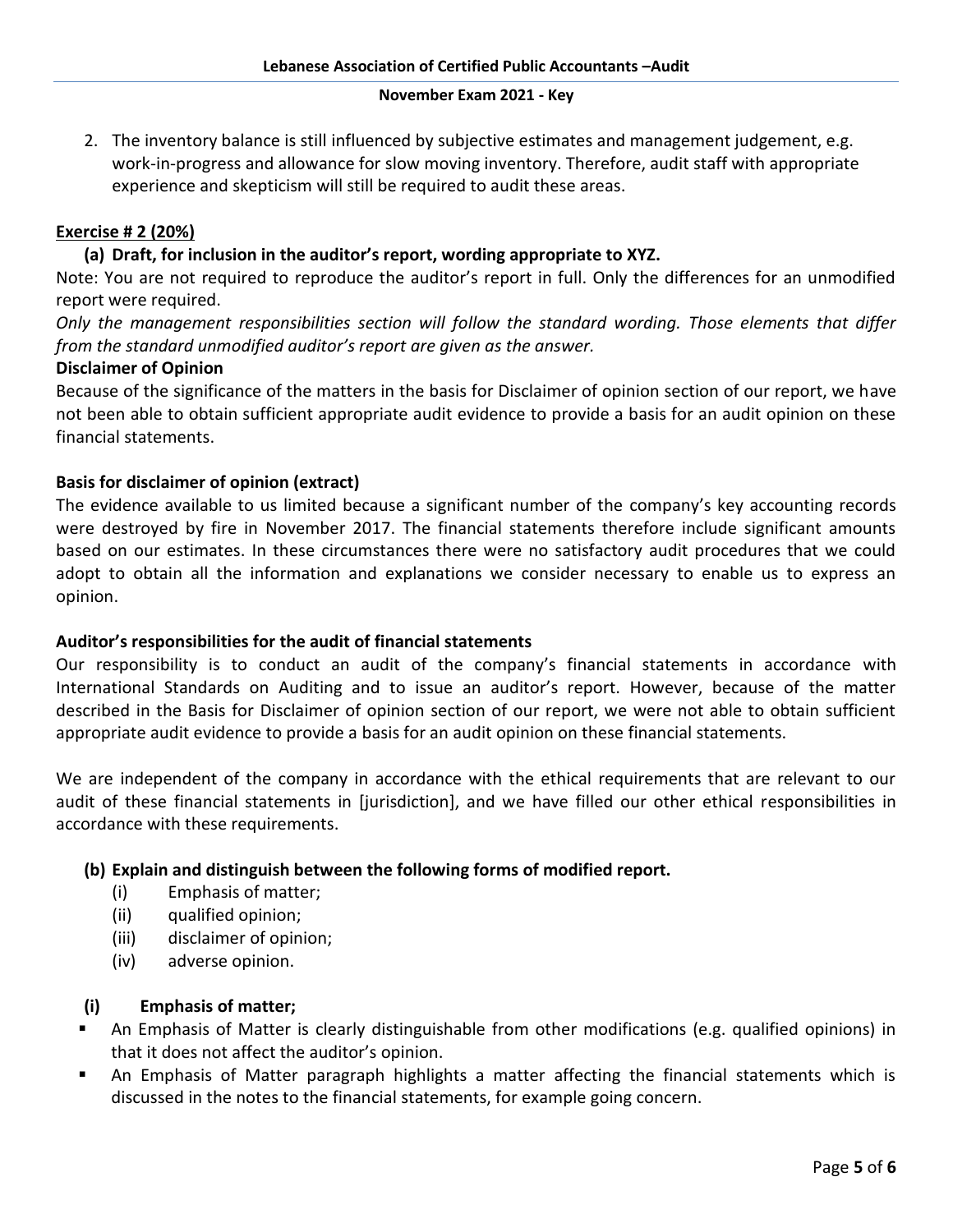2. The inventory balance is still influenced by subjective estimates and management judgement, e.g. work-in-progress and allowance for slow moving inventory. Therefore, audit staff with appropriate experience and skepticism will still be required to audit these areas.

### **Exercise # 2 (20%)**

### **(a) Draft, for inclusion in the auditor's report, wording appropriate to XYZ.**

Note: You are not required to reproduce the auditor's report in full. Only the differences for an unmodified report were required.

*Only the management responsibilities section will follow the standard wording. Those elements that differ from the standard unmodified auditor's report are given as the answer.*

### **Disclaimer of Opinion**

Because of the significance of the matters in the basis for Disclaimer of opinion section of our report, we have not been able to obtain sufficient appropriate audit evidence to provide a basis for an audit opinion on these financial statements.

### **Basis for disclaimer of opinion (extract)**

The evidence available to us limited because a significant number of the company's key accounting records were destroyed by fire in November 2017. The financial statements therefore include significant amounts based on our estimates. In these circumstances there were no satisfactory audit procedures that we could adopt to obtain all the information and explanations we consider necessary to enable us to express an opinion.

### **Auditor's responsibilities for the audit of financial statements**

Our responsibility is to conduct an audit of the company's financial statements in accordance with International Standards on Auditing and to issue an auditor's report. However, because of the matter described in the Basis for Disclaimer of opinion section of our report, we were not able to obtain sufficient appropriate audit evidence to provide a basis for an audit opinion on these financial statements.

We are independent of the company in accordance with the ethical requirements that are relevant to our audit of these financial statements in [jurisdiction], and we have filled our other ethical responsibilities in accordance with these requirements.

### **(b) Explain and distinguish between the following forms of modified report.**

- (i) Emphasis of matter;
- (ii) qualified opinion;
- (iii) disclaimer of opinion;
- (iv) adverse opinion.

### **(i) Emphasis of matter;**

- An Emphasis of Matter is clearly distinguishable from other modifications (e.g. qualified opinions) in that it does not affect the auditor's opinion.
- An Emphasis of Matter paragraph highlights a matter affecting the financial statements which is discussed in the notes to the financial statements, for example going concern.